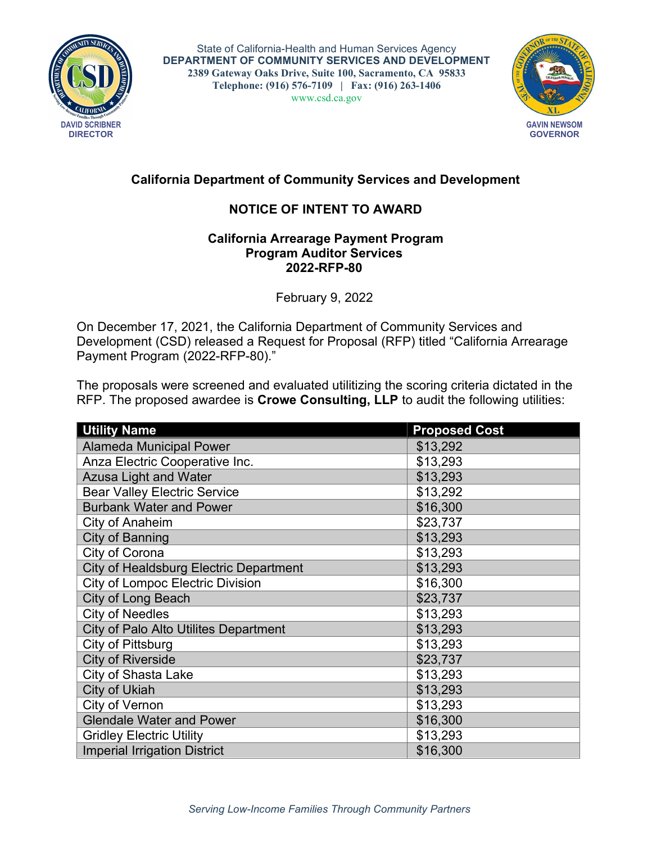

State of California-Health and Human Services Agency DEPARTMENT OF COMMUNITY SERVICES AND DEVELOPMENT 2389 Gateway Oaks Drive, Suite 100, Sacramento, CA 95833 Telephone: (916) 576-7109 | Fax: (916) 263-1406 www.csd.ca.gov



## California Department of Community Services and Development

## NOTICE OF INTENT TO AWARD

## California Arrearage Payment Program Program Auditor Services 202**2**-RFP-80

February 9, 2022

On December 17, 2021, the California Department of Community Services and Development (CSD) released a Request for Proposal (RFP) titled "California Arrearage Payment Program (2022-RFP-80)."

The proposals were screened and evaluated utilitizing the scoring criteria dictated in the RFP. The proposed awardee is Crowe Consulting, LLP to audit the following utilities:

| <b>Utility Name</b>                           | <b>Proposed Cost</b> |
|-----------------------------------------------|----------------------|
| <b>Alameda Municipal Power</b>                | \$13,292             |
| Anza Electric Cooperative Inc.                | \$13,293             |
| <b>Azusa Light and Water</b>                  | \$13,293             |
| <b>Bear Valley Electric Service</b>           | \$13,292             |
| <b>Burbank Water and Power</b>                | \$16,300             |
| City of Anaheim                               | \$23,737             |
| <b>City of Banning</b>                        | \$13,293             |
| City of Corona                                | \$13,293             |
| <b>City of Healdsburg Electric Department</b> | \$13,293             |
| <b>City of Lompoc Electric Division</b>       | \$16,300             |
| City of Long Beach                            | \$23,737             |
| <b>City of Needles</b>                        | \$13,293             |
| City of Palo Alto Utilites Department         | \$13,293             |
| City of Pittsburg                             | \$13,293             |
| <b>City of Riverside</b>                      | \$23,737             |
| <b>City of Shasta Lake</b>                    | \$13,293             |
| <b>City of Ukiah</b>                          | \$13,293             |
| City of Vernon                                | \$13,293             |
| <b>Glendale Water and Power</b>               | \$16,300             |
| <b>Gridley Electric Utility</b>               | \$13,293             |
| <b>Imperial Irrigation District</b>           | \$16,300             |